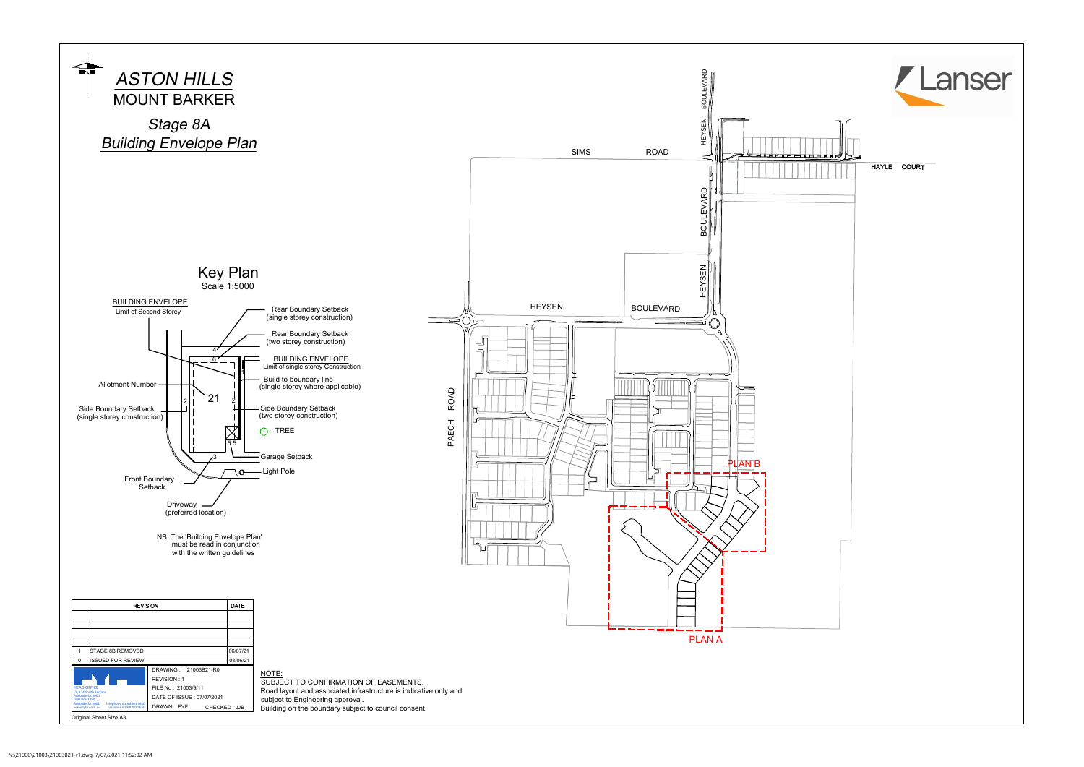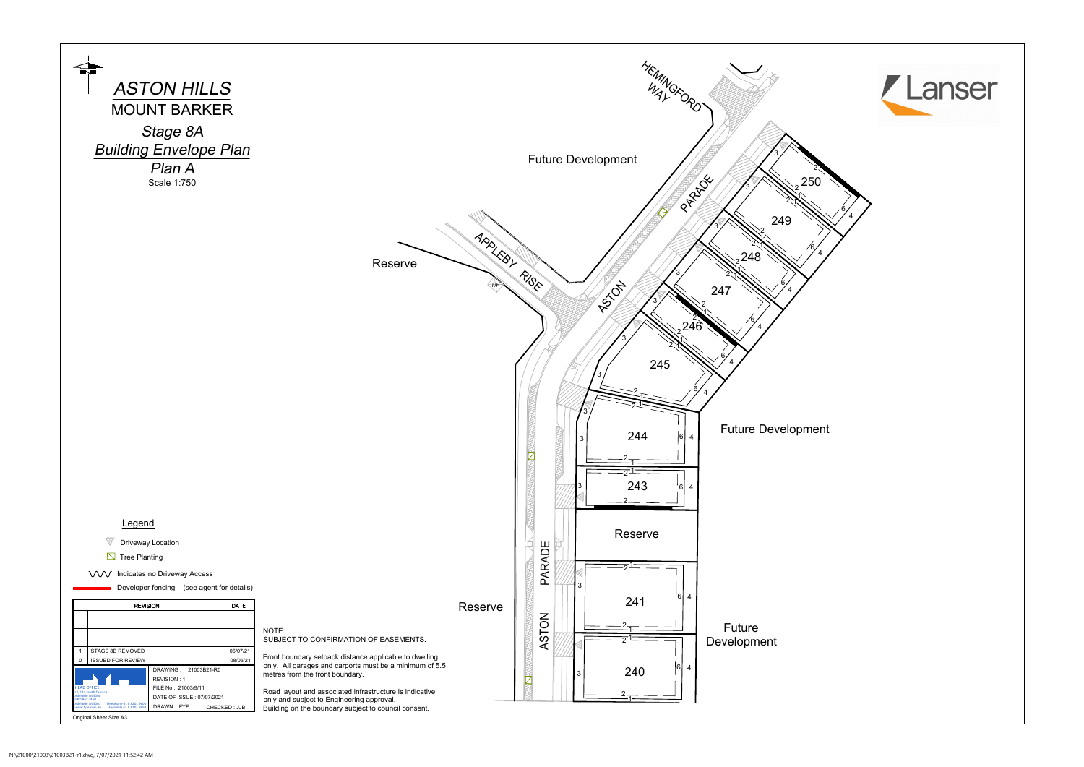